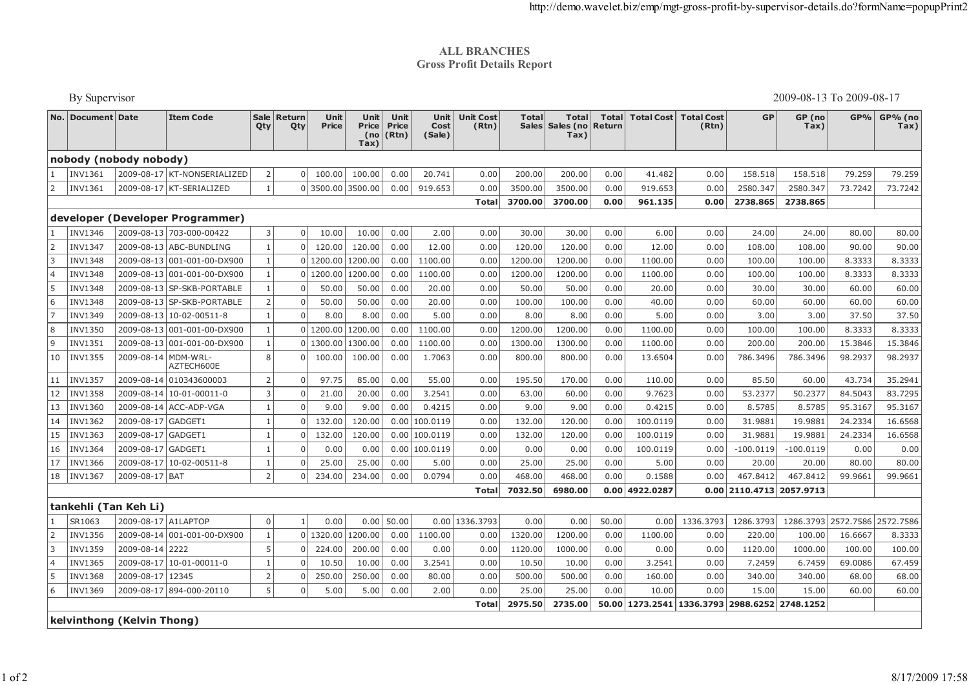## **ALL BRANCHES Gross Profit Details Report**

|                       | By Supervisor          |                            |                                   |                |                |                   |                              |                               |                        |                           | 2009-08-13 To 2009-08-17     |                                   |                        |                  |                                               |                            |                |           |                     |
|-----------------------|------------------------|----------------------------|-----------------------------------|----------------|----------------|-------------------|------------------------------|-------------------------------|------------------------|---------------------------|------------------------------|-----------------------------------|------------------------|------------------|-----------------------------------------------|----------------------------|----------------|-----------|---------------------|
|                       | No.   Document   Date  |                            | <b>Item Code</b>                  | Sale<br>Qty    | Return<br>Qty  | Unit<br>Price     | Unit<br>Price<br>(no<br>Tax) | Unit<br><b>Price</b><br>(Rtn) | Unit<br>Cost<br>(Sale) | <b>Unit Cost</b><br>(Rtn) | <b>Total</b><br><b>Sales</b> | <b>Total</b><br>Sales (no<br>Tax) | <b>Total</b><br>Return |                  | Total Cost Total Cost<br>(Rtn)                | <b>GP</b>                  | GP (no<br>Tax) |           | GP% GP% (no<br>Tax) |
|                       | nobody (nobody nobody) |                            |                                   |                |                |                   |                              |                               |                        |                           |                              |                                   |                        |                  |                                               |                            |                |           |                     |
|                       | <b>INV1361</b>         |                            | 2009-08-17 KT-NONSERIALIZED       | $\overline{2}$ | $\Omega$       | 100.00            | 100.00                       | 0.00                          | 20.741                 | 0.00                      | 200.00                       | 200.00                            | 0.00                   | 41.482           | 0.00                                          | 158.518                    | 158.518        | 79.259    | 79.259              |
| 2                     | <b>INV1361</b>         |                            | 2009-08-17 KT-SERIALIZED          | $\mathbf{1}$   |                | 0 3500.00 3500.00 |                              | 0.00                          | 919.653                | 0.00                      | 3500.00                      | 3500.00                           | 0.00                   | 919.653          | 0.00                                          | 2580.347                   | 2580.347       | 73.7242   | 73.7242             |
|                       |                        |                            |                                   |                |                |                   |                              |                               |                        | Total                     | 3700.00                      | 3700.00                           | 0.00                   | 961.135          | 0.00                                          | 2738.865                   | 2738.865       |           |                     |
|                       |                        |                            | developer (Developer Programmer)  |                |                |                   |                              |                               |                        |                           |                              |                                   |                        |                  |                                               |                            |                |           |                     |
|                       | <b>INV1346</b>         |                            | 2009-08-13 703-000-00422          | 3              | $\mathbf 0$    | 10.00             | 10.00                        | 0.00                          | 2.00                   | 0.00                      | 30.00                        | 30.00                             | 0.00                   | 6.00             | 0.00                                          | 24.00                      | 24.00          | 80.00     | 80.00               |
| $\overline{2}$        | <b>INV1347</b>         |                            | 2009-08-13 ABC-BUNDLING           | $\mathbf{1}$   | $\Omega$       | 120.00            | 120.00                       | 0.00                          | 12.00                  | 0.00                      | 120.00                       | 120.00                            | 0.00                   | 12.00            | 0.00                                          | 108.00                     | 108.00         | 90.00     | 90.00               |
| 3                     | <b>INV1348</b>         |                            | 2009-08-13 001-001-00-DX900       | $\mathbf{1}$   | $\overline{0}$ | 1200.00           | 1200.00                      | 0.00                          | 1100.00                | 0.00                      | 1200.00                      | 1200.00                           | 0.00                   | 1100.00          | 0.00                                          | 100.00                     | 100.00         | 8.3333    | 8.3333              |
| $\overline{4}$        | <b>INV1348</b>         |                            | 2009-08-13 001-001-00-DX900       | $\mathbf{1}$   | $\Omega$       | 1200.00           | 1200.00                      | 0.00                          | 1100.00                | 0.00                      | 1200.00                      | 1200.00                           | 0.00                   | 1100.00          | 0.00                                          | 100.00                     | 100.00         | 8.3333    | 8.3333              |
| 5                     | <b>INV1348</b>         |                            | 2009-08-13 SP-SKB-PORTABLE        | $\overline{1}$ | $\Omega$       | 50.00             | 50.00                        | 0.00                          | 20.00                  | 0.00                      | 50.00                        | 50.00                             | 0.00                   | 20.00            | 0.00                                          | 30.00                      | 30.00          | 60.00     | 60.00               |
| 6                     | <b>INV1348</b>         |                            | 2009-08-13 SP-SKB-PORTABLE        | $\overline{2}$ | $\mathbf 0$    | 50.00             | 50.00                        | 0.00                          | 20.00                  | 0.00                      | 100.00                       | 100.00                            | 0.00                   | 40.00            | 0.00                                          | 60.00                      | 60.00          | 60.00     | 60.00               |
| $\overline{7}$        | <b>INV1349</b>         |                            | 2009-08-13 10-02-00511-8          | $\overline{1}$ | $\Omega$       | 8.00              | 8.00                         | 0.00                          | 5.00                   | 0.00                      | 8.00                         | 8.00                              | 0.00                   | 5.00             | 0.00                                          | 3.00                       | 3.00           | 37.50     | 37.50               |
| 8                     | <b>INV1350</b>         |                            | 2009-08-13 001-001-00-DX900       | $\overline{1}$ | $\Omega$       | 1200.00           | 1200.00                      | 0.00                          | 1100.00                | 0.00                      | 1200.00                      | 1200.00                           | 0.00                   | 1100.00          | 0.00                                          | 100.00                     | 100.00         | 8.3333    | 8.3333              |
| 9                     | <b>INV1351</b>         |                            | 2009-08-13 001-001-00-DX900       | $\mathbf{1}$   | $\Omega$       | 1300.00           | 1300.00                      | 0.00                          | 1100.00                | 0.00                      | 1300.00                      | 1300.00                           | 0.00                   | 1100.00          | 0.00                                          | 200.00                     | 200.00         | 15.3846   | 15.3846             |
| 10                    | <b>INV1355</b>         |                            | 2009-08-14 MDM-WRL-<br>AZTECH600E | 8              | $\Omega$       | 100.00            | 100.00                       | 0.00                          | 1.7063                 | 0.00                      | 800.00                       | 800.00                            | 0.00                   | 13.6504          | 0.00                                          | 786.3496                   | 786.3496       | 98.2937   | 98.2937             |
| 11                    | <b>INV1357</b>         |                            | 2009-08-14 010343600003           | $\overline{2}$ | $\Omega$       | 97.75             | 85.00                        | 0.00                          | 55.00                  | 0.00                      | 195.50                       | 170.00                            | 0.00                   | 110.00           | 0.00                                          | 85.50                      | 60.00          | 43.734    | 35.2941             |
| 12                    | <b>INV1358</b>         |                            | 2009-08-14 10-01-00011-0          | $\overline{3}$ | $\Omega$       | 21.00             | 20.00                        | 0.00                          | 3.2541                 | 0.00                      | 63.00                        | 60.00                             | 0.00                   | 9.7623           | 0.00                                          | 53.2377                    | 50.2377        | 84.5043   | 83.7295             |
| 13                    | <b>INV1360</b>         |                            | 2009-08-14 ACC-ADP-VGA            | $\mathbf{1}$   | $\Omega$       | 9.00              | 9.00                         | 0.00                          | 0.4215                 | 0.00                      | 9.00                         | 9.00                              | 0.00                   | 0.4215           | 0.00                                          | 8.5785                     | 8.5785         | 95.3167   | 95.3167             |
| 14                    | <b>INV1362</b>         | 2009-08-17 GADGET1         |                                   | $\mathbf{1}$   | $\Omega$       | 132.00            | 120.00                       | 0.00                          | 100.0119               | 0.00                      | 132.00                       | 120.00                            | 0.00                   | 100.0119         | 0.00                                          | 31.9881                    | 19.9881        | 24.2334   | 16.6568             |
| 15                    | <b>INV1363</b>         | 2009-08-17 GADGET1         |                                   | $\mathbf{1}$   | $\Omega$       | 132.00            | 120.00                       | 0.00                          | 100.0119               | 0.00                      | 132.00                       | 120.00                            | 0.00                   | 100.0119         | 0.00                                          | 31.9881                    | 19.9881        | 24.2334   | 16.6568             |
| 16                    | <b>INV1364</b>         | 2009-08-17 GADGET1         |                                   |                | $\mathbf 0$    | 0.00              | 0.00                         | 0.00                          | 100.0119               | 0.00                      | 0.00                         | 0.00                              | 0.00                   | 100.0119         | 0.00                                          | $-100.0119$                | $-100.0119$    | 0.00      | 0.00                |
| 17                    | <b>INV1366</b>         |                            | 2009-08-17 10-02-00511-8          | $\overline{1}$ | $\mathbf 0$    | 25.00             | 25.00                        | 0.00                          | 5.00                   | 0.00                      | 25.00                        | 25.00                             | 0.00                   | 5.00             | 0.00                                          | 20.00                      | 20.00          | 80.00     | 80.00               |
| 18                    | INV1367                | 2009-08-17 BAT             |                                   | $\overline{2}$ | $\Omega$       | 234.00            | 234.00                       | 0.00                          | 0.0794                 | 0.00                      | 468.00                       | 468.00                            | 0.00                   | 0.1588           | 0.00                                          | 467.8412                   | 467.8412       | 99.9661   | 99.9661             |
|                       |                        |                            |                                   |                |                |                   |                              |                               |                        | Total                     | 7032.50                      | 6980.00                           |                        | $0.00$ 4922.0287 |                                               | $0.00$ 2110.4713 2057.9713 |                |           |                     |
| tankehli (Tan Keh Li) |                        |                            |                                   |                |                |                   |                              |                               |                        |                           |                              |                                   |                        |                  |                                               |                            |                |           |                     |
| 1                     | SR1063                 | 2009-08-17 A1LAPTOP        |                                   | $\mathbf 0$    | $\mathbf{1}$   | 0.00              | 0.00                         | 50.00                         | 0.00                   | 1336.3793                 | 0.00                         | 0.00                              | 50.00                  | 0.00             | 1336.3793                                     | 1286.3793                  | 1286.3793      | 2572.7586 | 2572.7586           |
| 2                     | <b>INV1356</b>         |                            | 2009-08-14 001-001-00-DX900       | $\mathbf{1}$   |                | 0 1320.00         | 1200.00                      | 0.00                          | 1100.00                | 0.00                      | 1320.00                      | 1200.00                           | 0.00                   | 1100.00          | 0.00                                          | 220.00                     | 100.00         | 16.6667   | 8.3333              |
| 3                     | <b>INV1359</b>         | 2009-08-14 2222            |                                   | 5              | $\Omega$       | 224.00            | 200.00                       | 0.00                          | 0.00                   | 0.00                      | 1120.00                      | 1000.00                           | 0.00                   | 0.00             | 0.00                                          | 1120.00                    | 1000.00        | 100.00    | 100.00              |
| 4                     | <b>INV1365</b>         |                            | 2009-08-17 10-01-00011-0          | $\overline{1}$ | $\mathbf 0$    | 10.50             | 10.00                        | 0.00                          | 3.2541                 | 0.00                      | 10.50                        | 10.00                             | 0.00                   | 3.2541           | 0.00                                          | 7.2459                     | 6.7459         | 69.0086   | 67.459              |
|                       | <b>INV1368</b>         | 2009-08-17 12345           |                                   | $\overline{2}$ | $\Omega$       | 250.00            | 250.00                       | 0.00                          | 80.00                  | 0.00                      | 500.00                       | 500.00                            | 0.00                   | 160.00           | 0.00                                          | 340.00                     | 340.00         | 68.00     | 68.00               |
| 6                     | <b>INV1369</b>         |                            | 2009-08-17 894-000-20110          | 5              | $\mathbf 0$    | 5.00              | 5.00                         | 0.00                          | 2.00                   | 0.00                      | 25.00                        | 25.00                             | 0.00                   | 10.00            | 0.00                                          | 15.00                      | 15.00          | 60.00     | 60.00               |
|                       |                        |                            |                                   |                |                |                   |                              |                               |                        | Total                     | 2975.50                      | 2735.00                           |                        |                  | 50.00 1273.2541 1336.3793 2988.6252 2748.1252 |                            |                |           |                     |
|                       |                        | kelvinthong (Kelvin Thong) |                                   |                |                |                   |                              |                               |                        |                           |                              |                                   |                        |                  |                                               |                            |                |           |                     |